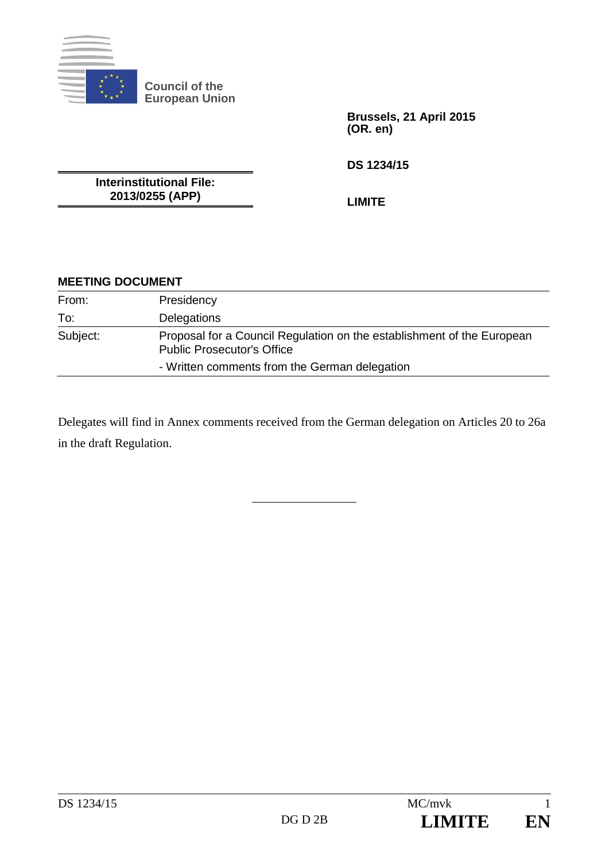

**Council of the European Union** 

> **Brussels, 21 April 2015 (OR. en)**

**DS 1234/15** 

**Interinstitutional File: 2013/0255 (APP)** 

**LIMITE** 

## **MEETING DOCUMENT**

| From:    | Presidency                                                                                                  |
|----------|-------------------------------------------------------------------------------------------------------------|
| To:      | Delegations                                                                                                 |
| Subject: | Proposal for a Council Regulation on the establishment of the European<br><b>Public Prosecutor's Office</b> |
|          | - Written comments from the German delegation                                                               |

Delegates will find in Annex comments received from the German delegation on Articles 20 to 26a in the draft Regulation.

\_\_\_\_\_\_\_\_\_\_\_\_\_\_\_\_\_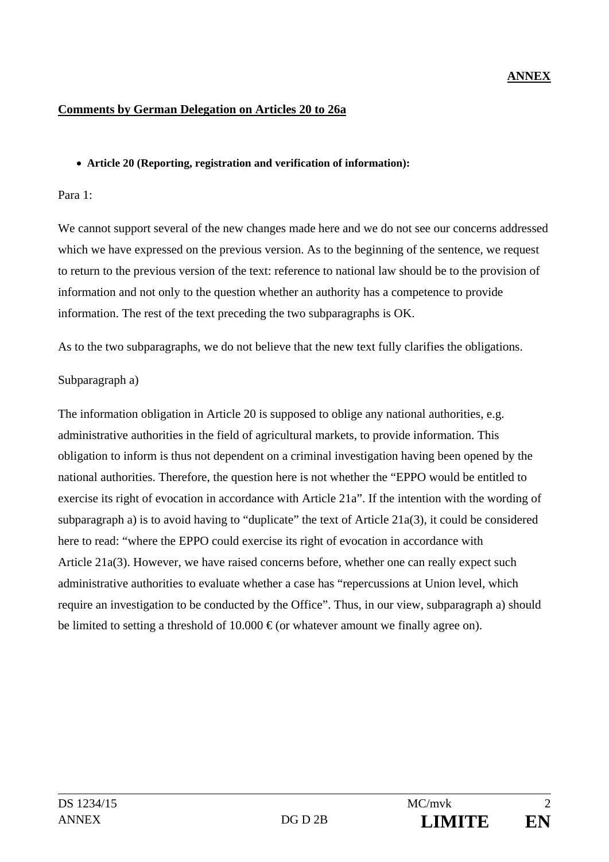## **ANNEX**

#### **Comments by German Delegation on Articles 20 to 26a**

#### **Article 20 (Reporting, registration and verification of information):**

#### Para 1:

We cannot support several of the new changes made here and we do not see our concerns addressed which we have expressed on the previous version. As to the beginning of the sentence, we request to return to the previous version of the text: reference to national law should be to the provision of information and not only to the question whether an authority has a competence to provide information. The rest of the text preceding the two subparagraphs is OK.

As to the two subparagraphs, we do not believe that the new text fully clarifies the obligations.

### Subparagraph a)

The information obligation in Article 20 is supposed to oblige any national authorities, e.g. administrative authorities in the field of agricultural markets, to provide information. This obligation to inform is thus not dependent on a criminal investigation having been opened by the national authorities. Therefore, the question here is not whether the "EPPO would be entitled to exercise its right of evocation in accordance with Article 21a". If the intention with the wording of subparagraph a) is to avoid having to "duplicate" the text of Article 21a(3), it could be considered here to read: "where the EPPO could exercise its right of evocation in accordance with Article 21a(3). However, we have raised concerns before, whether one can really expect such administrative authorities to evaluate whether a case has "repercussions at Union level, which require an investigation to be conducted by the Office". Thus, in our view, subparagraph a) should be limited to setting a threshold of 10.000  $\epsilon$  (or whatever amount we finally agree on).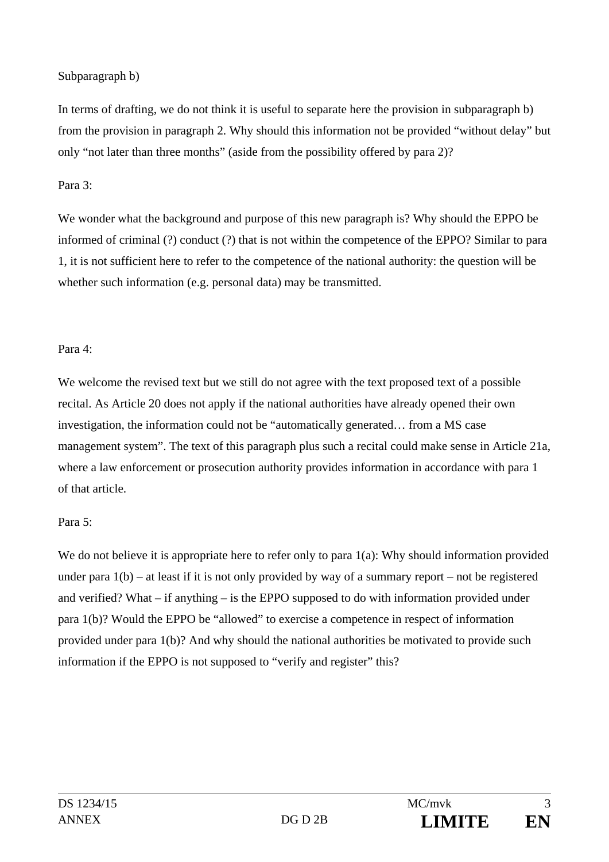### Subparagraph b)

In terms of drafting, we do not think it is useful to separate here the provision in subparagraph b) from the provision in paragraph 2. Why should this information not be provided "without delay" but only "not later than three months" (aside from the possibility offered by para 2)?

### Para 3:

We wonder what the background and purpose of this new paragraph is? Why should the EPPO be informed of criminal (?) conduct (?) that is not within the competence of the EPPO? Similar to para 1, it is not sufficient here to refer to the competence of the national authority: the question will be whether such information (e.g. personal data) may be transmitted.

## Para 4:

We welcome the revised text but we still do not agree with the text proposed text of a possible recital. As Article 20 does not apply if the national authorities have already opened their own investigation, the information could not be "automatically generated… from a MS case management system". The text of this paragraph plus such a recital could make sense in Article 21a, where a law enforcement or prosecution authority provides information in accordance with para 1 of that article.

## Para 5:

We do not believe it is appropriate here to refer only to para  $1(a)$ : Why should information provided under para 1(b) – at least if it is not only provided by way of a summary report – not be registered and verified? What – if anything – is the EPPO supposed to do with information provided under para 1(b)? Would the EPPO be "allowed" to exercise a competence in respect of information provided under para 1(b)? And why should the national authorities be motivated to provide such information if the EPPO is not supposed to "verify and register" this?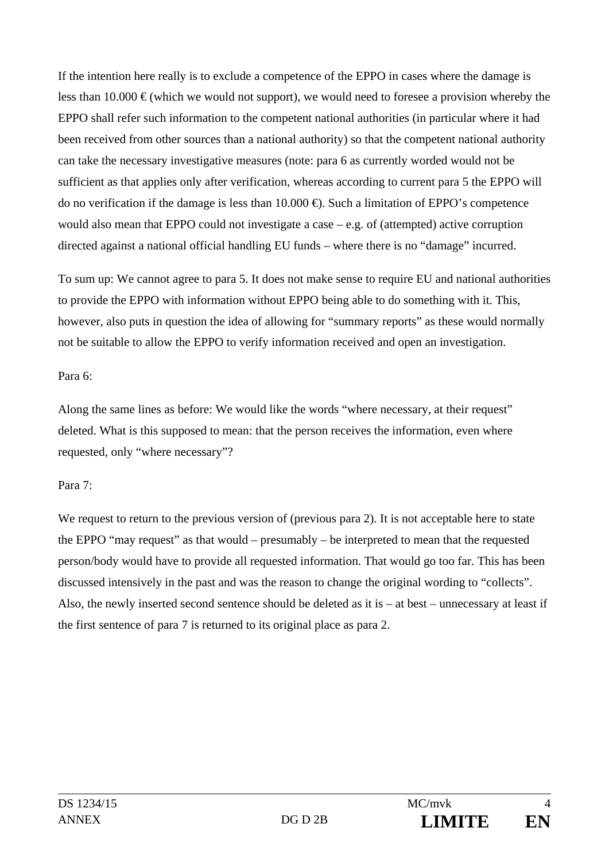If the intention here really is to exclude a competence of the EPPO in cases where the damage is less than 10.000  $\epsilon$  (which we would not support), we would need to foresee a provision whereby the EPPO shall refer such information to the competent national authorities (in particular where it had been received from other sources than a national authority) so that the competent national authority can take the necessary investigative measures (note: para 6 as currently worded would not be sufficient as that applies only after verification, whereas according to current para 5 the EPPO will do no verification if the damage is less than 10.000 €). Such a limitation of EPPO's competence would also mean that EPPO could not investigate a case – e.g. of (attempted) active corruption directed against a national official handling EU funds – where there is no "damage" incurred.

To sum up: We cannot agree to para 5. It does not make sense to require EU and national authorities to provide the EPPO with information without EPPO being able to do something with it. This, however, also puts in question the idea of allowing for "summary reports" as these would normally not be suitable to allow the EPPO to verify information received and open an investigation.

## Para 6:

Along the same lines as before: We would like the words "where necessary, at their request" deleted. What is this supposed to mean: that the person receives the information, even where requested, only "where necessary"?

## Para 7:

We request to return to the previous version of (previous para 2). It is not acceptable here to state the EPPO "may request" as that would – presumably – be interpreted to mean that the requested person/body would have to provide all requested information. That would go too far. This has been discussed intensively in the past and was the reason to change the original wording to "collects". Also, the newly inserted second sentence should be deleted as it is – at best – unnecessary at least if the first sentence of para 7 is returned to its original place as para 2.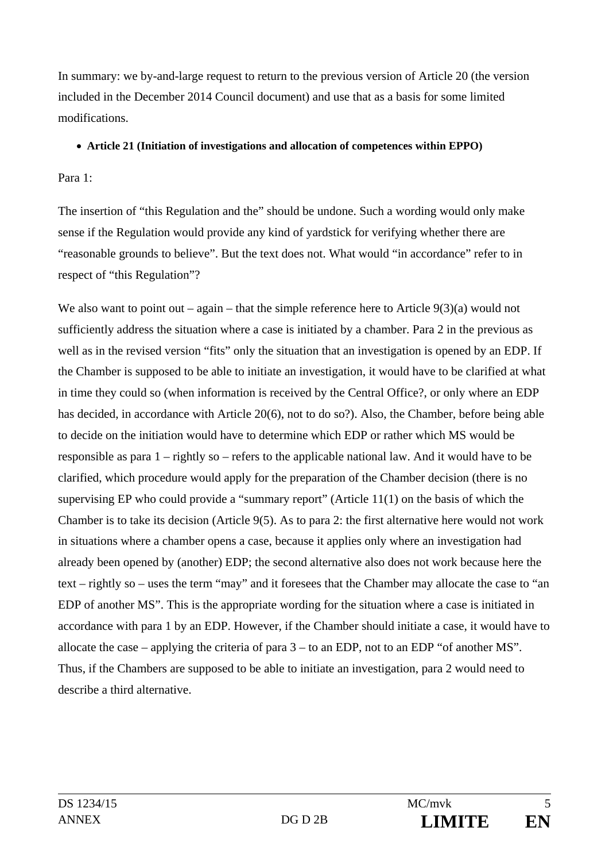In summary: we by-and-large request to return to the previous version of Article 20 (the version included in the December 2014 Council document) and use that as a basis for some limited modifications.

### **Article 21 (Initiation of investigations and allocation of competences within EPPO)**

Para 1:

The insertion of "this Regulation and the" should be undone. Such a wording would only make sense if the Regulation would provide any kind of yardstick for verifying whether there are "reasonable grounds to believe". But the text does not. What would "in accordance" refer to in respect of "this Regulation"?

We also want to point out – again – that the simple reference here to Article  $9(3)(a)$  would not sufficiently address the situation where a case is initiated by a chamber. Para 2 in the previous as well as in the revised version "fits" only the situation that an investigation is opened by an EDP. If the Chamber is supposed to be able to initiate an investigation, it would have to be clarified at what in time they could so (when information is received by the Central Office?, or only where an EDP has decided, in accordance with Article 20(6), not to do so?). Also, the Chamber, before being able to decide on the initiation would have to determine which EDP or rather which MS would be responsible as para 1 – rightly so – refers to the applicable national law. And it would have to be clarified, which procedure would apply for the preparation of the Chamber decision (there is no supervising EP who could provide a "summary report" (Article 11(1) on the basis of which the Chamber is to take its decision (Article 9(5). As to para 2: the first alternative here would not work in situations where a chamber opens a case, because it applies only where an investigation had already been opened by (another) EDP; the second alternative also does not work because here the text – rightly so – uses the term "may" and it foresees that the Chamber may allocate the case to "an EDP of another MS". This is the appropriate wording for the situation where a case is initiated in accordance with para 1 by an EDP. However, if the Chamber should initiate a case, it would have to allocate the case – applying the criteria of para 3 – to an EDP, not to an EDP "of another MS". Thus, if the Chambers are supposed to be able to initiate an investigation, para 2 would need to describe a third alternative.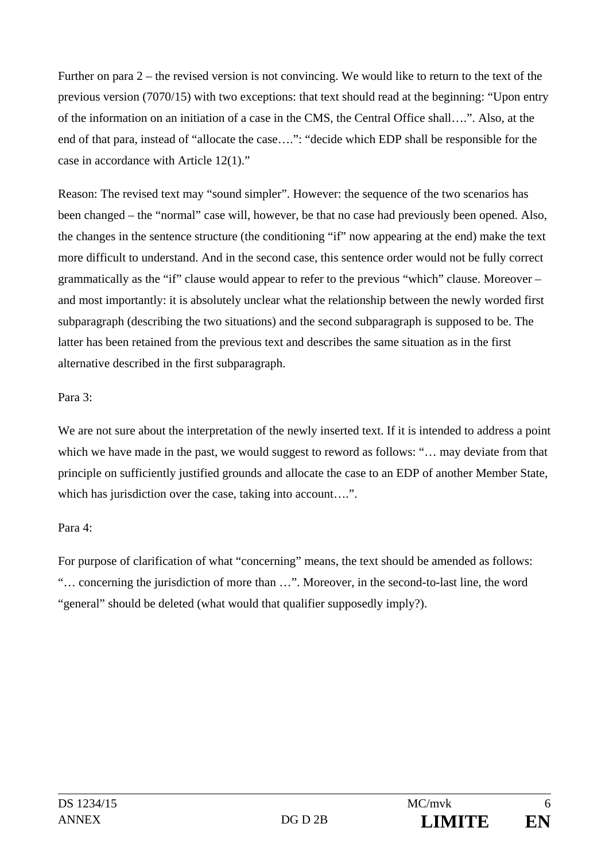Further on para 2 – the revised version is not convincing. We would like to return to the text of the previous version (7070/15) with two exceptions: that text should read at the beginning: "Upon entry of the information on an initiation of a case in the CMS, the Central Office shall….". Also, at the end of that para, instead of "allocate the case….": "decide which EDP shall be responsible for the case in accordance with Article 12(1)."

Reason: The revised text may "sound simpler". However: the sequence of the two scenarios has been changed – the "normal" case will, however, be that no case had previously been opened. Also, the changes in the sentence structure (the conditioning "if" now appearing at the end) make the text more difficult to understand. And in the second case, this sentence order would not be fully correct grammatically as the "if" clause would appear to refer to the previous "which" clause. Moreover – and most importantly: it is absolutely unclear what the relationship between the newly worded first subparagraph (describing the two situations) and the second subparagraph is supposed to be. The latter has been retained from the previous text and describes the same situation as in the first alternative described in the first subparagraph.

## Para 3:

We are not sure about the interpretation of the newly inserted text. If it is intended to address a point which we have made in the past, we would suggest to reword as follows: "... may deviate from that principle on sufficiently justified grounds and allocate the case to an EDP of another Member State, which has jurisdiction over the case, taking into account....".

## Para 4:

For purpose of clarification of what "concerning" means, the text should be amended as follows: "… concerning the jurisdiction of more than …". Moreover, in the second-to-last line, the word "general" should be deleted (what would that qualifier supposedly imply?).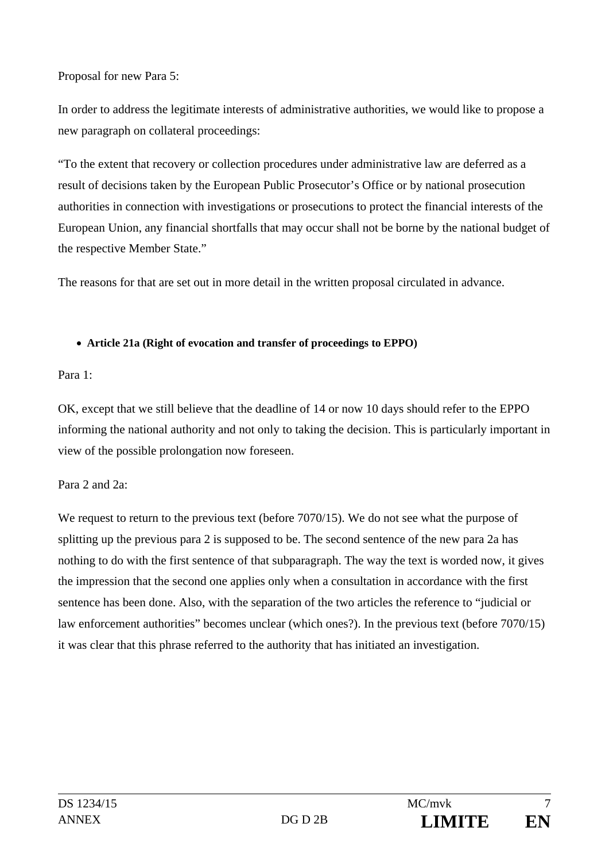Proposal for new Para 5:

In order to address the legitimate interests of administrative authorities, we would like to propose a new paragraph on collateral proceedings:

"To the extent that recovery or collection procedures under administrative law are deferred as a result of decisions taken by the European Public Prosecutor's Office or by national prosecution authorities in connection with investigations or prosecutions to protect the financial interests of the European Union, any financial shortfalls that may occur shall not be borne by the national budget of the respective Member State."

The reasons for that are set out in more detail in the written proposal circulated in advance.

## **Article 21a (Right of evocation and transfer of proceedings to EPPO)**

## Para 1:

OK, except that we still believe that the deadline of 14 or now 10 days should refer to the EPPO informing the national authority and not only to taking the decision. This is particularly important in view of the possible prolongation now foreseen.

# Para 2 and 2a:

We request to return to the previous text (before 7070/15). We do not see what the purpose of splitting up the previous para 2 is supposed to be. The second sentence of the new para 2a has nothing to do with the first sentence of that subparagraph. The way the text is worded now, it gives the impression that the second one applies only when a consultation in accordance with the first sentence has been done. Also, with the separation of the two articles the reference to "judicial or law enforcement authorities" becomes unclear (which ones?). In the previous text (before 7070/15) it was clear that this phrase referred to the authority that has initiated an investigation.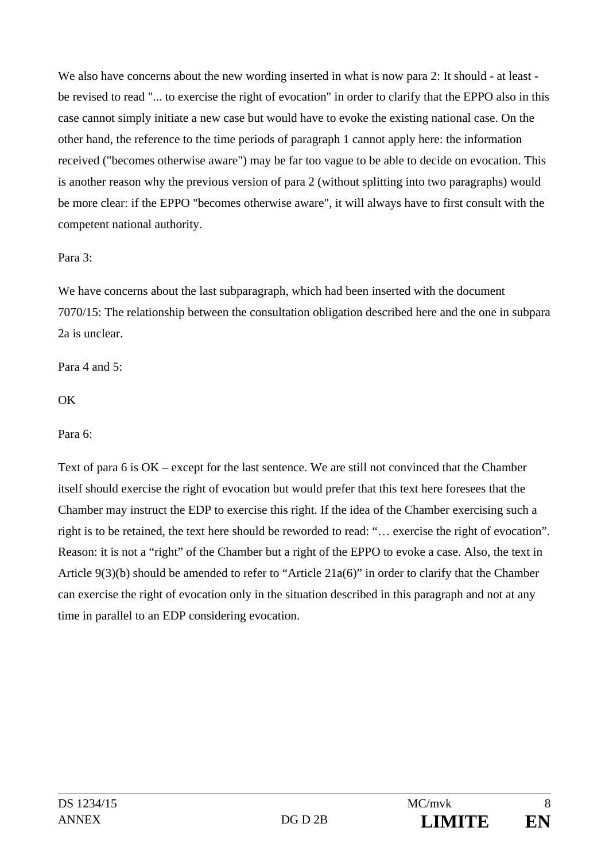We also have concerns about the new wording inserted in what is now para 2: It should - at least be revised to read "... to exercise the right of evocation" in order to clarify that the EPPO also in this case cannot simply initiate a new case but would have to evoke the existing national case. On the other hand, the reference to the time periods of paragraph 1 cannot apply here: the information received ("becomes otherwise aware") may be far too vague to be able to decide on evocation. This is another reason why the previous version of para 2 (without splitting into two paragraphs) would be more clear: if the EPPO "becomes otherwise aware", it will always have to first consult with the competent national authority.

## Para 3:

We have concerns about the last subparagraph, which had been inserted with the document 7070/15: The relationship between the consultation obligation described here and the one in subpara 2a is unclear.

Para 4 and 5:

**OK** 

Para 6:

Text of para 6 is OK – except for the last sentence. We are still not convinced that the Chamber itself should exercise the right of evocation but would prefer that this text here foresees that the Chamber may instruct the EDP to exercise this right. If the idea of the Chamber exercising such a right is to be retained, the text here should be reworded to read: "… exercise the right of evocation". Reason: it is not a "right" of the Chamber but a right of the EPPO to evoke a case. Also, the text in Article 9(3)(b) should be amended to refer to "Article 21a(6)" in order to clarify that the Chamber can exercise the right of evocation only in the situation described in this paragraph and not at any time in parallel to an EDP considering evocation.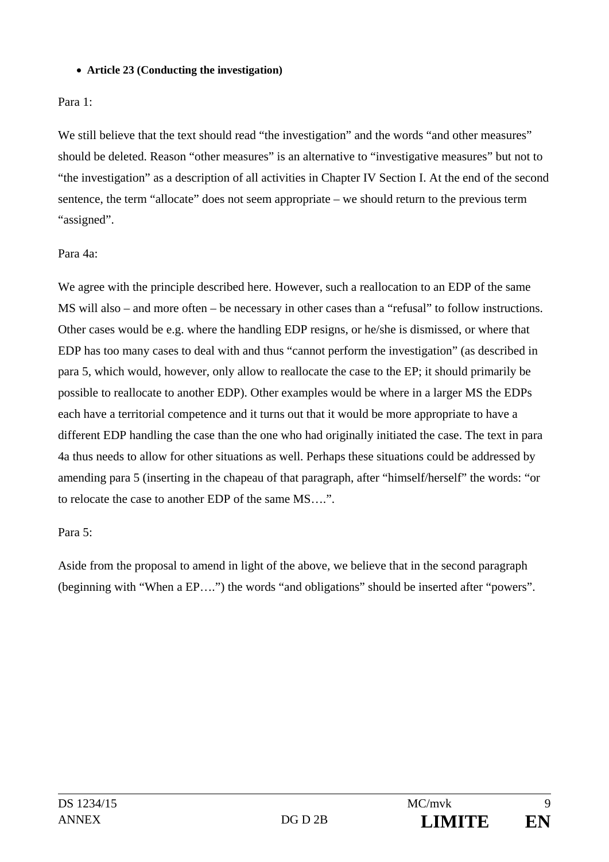### **Article 23 (Conducting the investigation)**

## Para 1:

We still believe that the text should read "the investigation" and the words "and other measures" should be deleted. Reason "other measures" is an alternative to "investigative measures" but not to "the investigation" as a description of all activities in Chapter IV Section I. At the end of the second sentence, the term "allocate" does not seem appropriate – we should return to the previous term "assigned".

# Para 4a:

We agree with the principle described here. However, such a reallocation to an EDP of the same MS will also – and more often – be necessary in other cases than a "refusal" to follow instructions. Other cases would be e.g. where the handling EDP resigns, or he/she is dismissed, or where that EDP has too many cases to deal with and thus "cannot perform the investigation" (as described in para 5, which would, however, only allow to reallocate the case to the EP; it should primarily be possible to reallocate to another EDP). Other examples would be where in a larger MS the EDPs each have a territorial competence and it turns out that it would be more appropriate to have a different EDP handling the case than the one who had originally initiated the case. The text in para 4a thus needs to allow for other situations as well. Perhaps these situations could be addressed by amending para 5 (inserting in the chapeau of that paragraph, after "himself/herself" the words: "or to relocate the case to another EDP of the same MS….".

## Para 5:

Aside from the proposal to amend in light of the above, we believe that in the second paragraph (beginning with "When a EP….") the words "and obligations" should be inserted after "powers".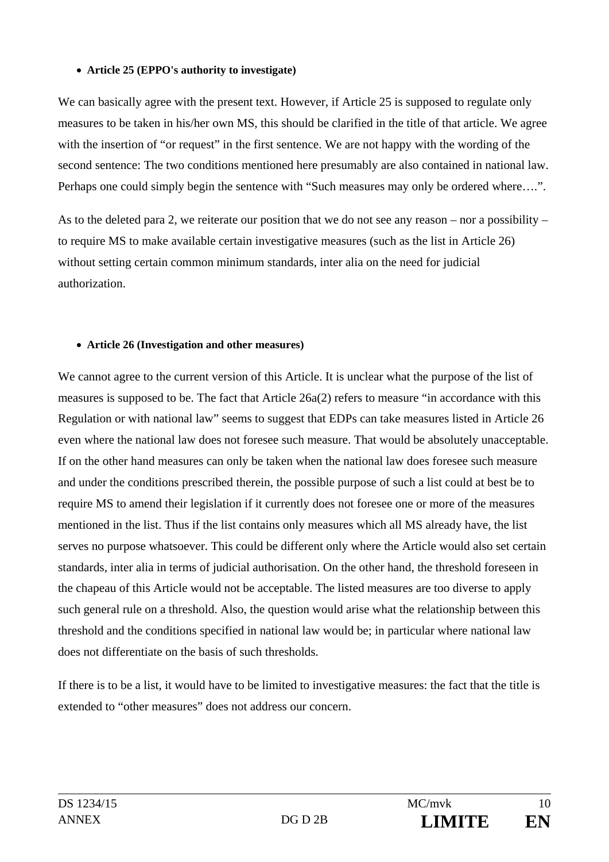### **Article 25 (EPPO's authority to investigate)**

We can basically agree with the present text. However, if Article 25 is supposed to regulate only measures to be taken in his/her own MS, this should be clarified in the title of that article. We agree with the insertion of "or request" in the first sentence. We are not happy with the wording of the second sentence: The two conditions mentioned here presumably are also contained in national law. Perhaps one could simply begin the sentence with "Such measures may only be ordered where….".

As to the deleted para 2, we reiterate our position that we do not see any reason – nor a possibility – to require MS to make available certain investigative measures (such as the list in Article 26) without setting certain common minimum standards, inter alia on the need for judicial authorization.

### **Article 26 (Investigation and other measures)**

We cannot agree to the current version of this Article. It is unclear what the purpose of the list of measures is supposed to be. The fact that Article 26a(2) refers to measure "in accordance with this Regulation or with national law" seems to suggest that EDPs can take measures listed in Article 26 even where the national law does not foresee such measure. That would be absolutely unacceptable. If on the other hand measures can only be taken when the national law does foresee such measure and under the conditions prescribed therein, the possible purpose of such a list could at best be to require MS to amend their legislation if it currently does not foresee one or more of the measures mentioned in the list. Thus if the list contains only measures which all MS already have, the list serves no purpose whatsoever. This could be different only where the Article would also set certain standards, inter alia in terms of judicial authorisation. On the other hand, the threshold foreseen in the chapeau of this Article would not be acceptable. The listed measures are too diverse to apply such general rule on a threshold. Also, the question would arise what the relationship between this threshold and the conditions specified in national law would be; in particular where national law does not differentiate on the basis of such thresholds.

If there is to be a list, it would have to be limited to investigative measures: the fact that the title is extended to "other measures" does not address our concern.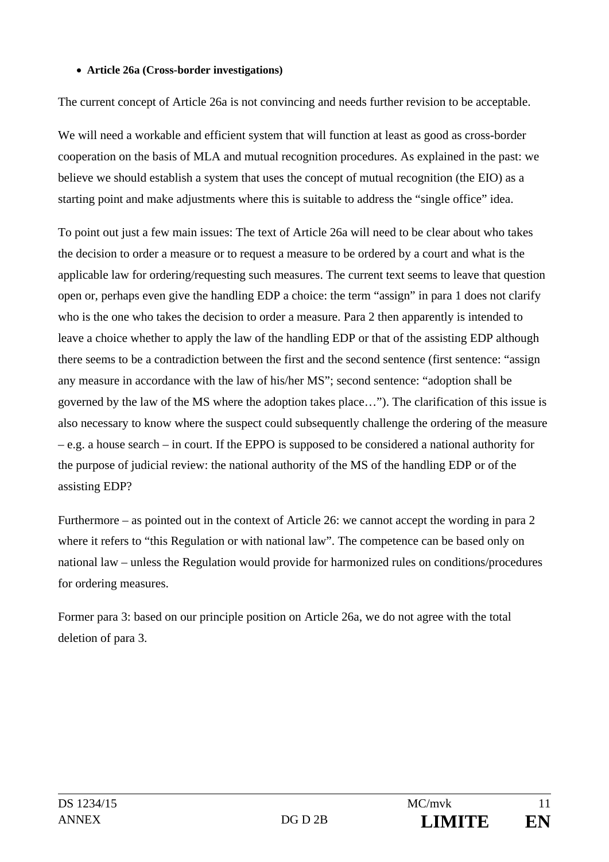### **Article 26a (Cross-border investigations)**

The current concept of Article 26a is not convincing and needs further revision to be acceptable.

We will need a workable and efficient system that will function at least as good as cross-border cooperation on the basis of MLA and mutual recognition procedures. As explained in the past: we believe we should establish a system that uses the concept of mutual recognition (the EIO) as a starting point and make adjustments where this is suitable to address the "single office" idea.

To point out just a few main issues: The text of Article 26a will need to be clear about who takes the decision to order a measure or to request a measure to be ordered by a court and what is the applicable law for ordering/requesting such measures. The current text seems to leave that question open or, perhaps even give the handling EDP a choice: the term "assign" in para 1 does not clarify who is the one who takes the decision to order a measure. Para 2 then apparently is intended to leave a choice whether to apply the law of the handling EDP or that of the assisting EDP although there seems to be a contradiction between the first and the second sentence (first sentence: "assign any measure in accordance with the law of his/her MS"; second sentence: "adoption shall be governed by the law of the MS where the adoption takes place…"). The clarification of this issue is also necessary to know where the suspect could subsequently challenge the ordering of the measure – e.g. a house search – in court. If the EPPO is supposed to be considered a national authority for the purpose of judicial review: the national authority of the MS of the handling EDP or of the assisting EDP?

Furthermore – as pointed out in the context of Article 26: we cannot accept the wording in para 2 where it refers to "this Regulation or with national law". The competence can be based only on national law – unless the Regulation would provide for harmonized rules on conditions/procedures for ordering measures.

Former para 3: based on our principle position on Article 26a, we do not agree with the total deletion of para 3.